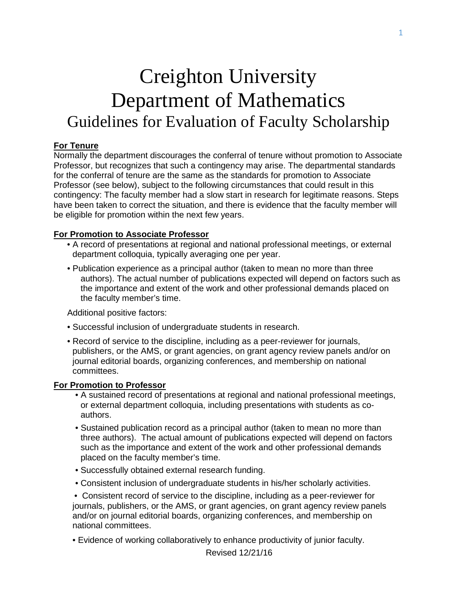# Creighton University Department of Mathematics Guidelines for Evaluation of Faculty Scholarship

### **For Tenure**

Normally the department discourages the conferral of tenure without promotion to Associate Professor, but recognizes that such a contingency may arise. The departmental standards for the conferral of tenure are the same as the standards for promotion to Associate Professor (see below), subject to the following circumstances that could result in this contingency: The faculty member had a slow start in research for legitimate reasons. Steps have been taken to correct the situation, and there is evidence that the faculty member will be eligible for promotion within the next few years.

#### **For Promotion to Associate Professor**

- A record of presentations at regional and national professional meetings, or external department colloquia, typically averaging one per year.
- Publication experience as a principal author (taken to mean no more than three authors). The actual number of publications expected will depend on factors such as the importance and extent of the work and other professional demands placed on the faculty member's time.

Additional positive factors:

- Successful inclusion of undergraduate students in research.
- Record of service to the discipline, including as a peer-reviewer for journals, publishers, or the AMS, or grant agencies, on grant agency review panels and/or on journal editorial boards, organizing conferences, and membership on national committees.

#### **For Promotion to Professor**

- A sustained record of presentations at regional and national professional meetings, or external department colloquia, including presentations with students as coauthors.
- Sustained publication record as a principal author (taken to mean no more than three authors). The actual amount of publications expected will depend on factors such as the importance and extent of the work and other professional demands placed on the faculty member's time.
- Successfully obtained external research funding.
- Consistent inclusion of undergraduate students in his/her scholarly activities.

 • Consistent record of service to the discipline, including as a peer-reviewer for journals, publishers, or the AMS, or grant agencies, on grant agency review panels and/or on journal editorial boards, organizing conferences, and membership on national committees.

• Evidence of working collaboratively to enhance productivity of junior faculty.

Revised 12/21/16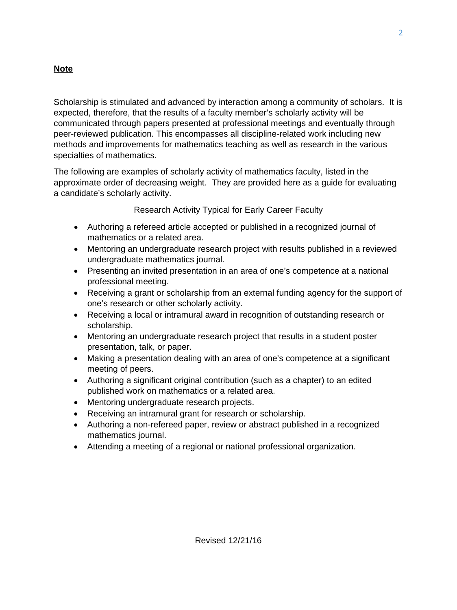## **Note**

Scholarship is stimulated and advanced by interaction among a community of scholars. It is expected, therefore, that the results of a faculty member's scholarly activity will be communicated through papers presented at professional meetings and eventually through peer-reviewed publication. This encompasses all discipline-related work including new methods and improvements for mathematics teaching as well as research in the various specialties of mathematics.

The following are examples of scholarly activity of mathematics faculty, listed in the approximate order of decreasing weight. They are provided here as a guide for evaluating a candidate's scholarly activity.

Research Activity Typical for Early Career Faculty

- Authoring a refereed article accepted or published in a recognized journal of mathematics or a related area.
- Mentoring an undergraduate research project with results published in a reviewed undergraduate mathematics journal.
- Presenting an invited presentation in an area of one's competence at a national professional meeting.
- Receiving a grant or scholarship from an external funding agency for the support of one's research or other scholarly activity.
- Receiving a local or intramural award in recognition of outstanding research or scholarship.
- Mentoring an undergraduate research project that results in a student poster presentation, talk, or paper.
- Making a presentation dealing with an area of one's competence at a significant meeting of peers.
- Authoring a significant original contribution (such as a chapter) to an edited published work on mathematics or a related area.
- Mentoring undergraduate research projects.
- Receiving an intramural grant for research or scholarship.
- Authoring a non-refereed paper, review or abstract published in a recognized mathematics journal.
- Attending a meeting of a regional or national professional organization.